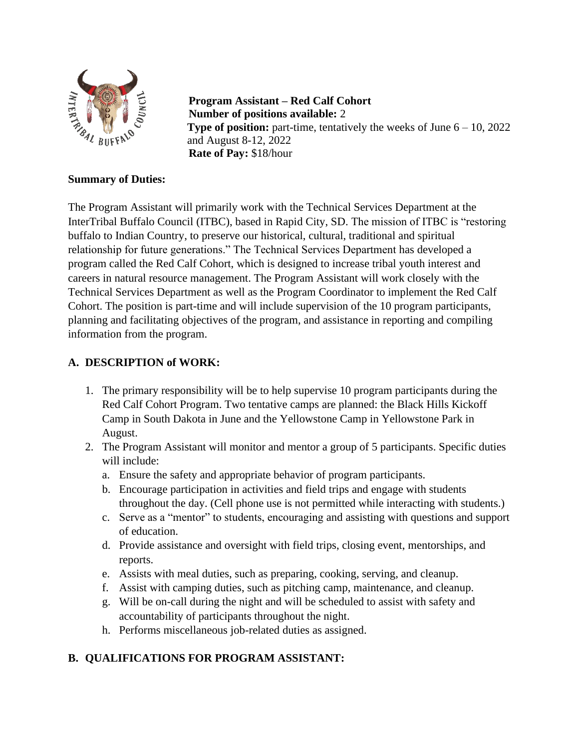

**Program Assistant – Red Calf Cohort Number of positions available:** 2 **Type of position:** part-time, tentatively the weeks of June  $6 - 10$ , 2022 and August 8-12, 2022 **Rate of Pay:** \$18/hour

### **Summary of Duties:**

The Program Assistant will primarily work with the Technical Services Department at the InterTribal Buffalo Council (ITBC), based in Rapid City, SD. The mission of ITBC is "restoring buffalo to Indian Country, to preserve our historical, cultural, traditional and spiritual relationship for future generations." The Technical Services Department has developed a program called the Red Calf Cohort, which is designed to increase tribal youth interest and careers in natural resource management. The Program Assistant will work closely with the Technical Services Department as well as the Program Coordinator to implement the Red Calf Cohort. The position is part-time and will include supervision of the 10 program participants, planning and facilitating objectives of the program, and assistance in reporting and compiling information from the program.

### **A. DESCRIPTION of WORK:**

- 1. The primary responsibility will be to help supervise 10 program participants during the Red Calf Cohort Program. Two tentative camps are planned: the Black Hills Kickoff Camp in South Dakota in June and the Yellowstone Camp in Yellowstone Park in August.
- 2. The Program Assistant will monitor and mentor a group of 5 participants. Specific duties will include:
	- a. Ensure the safety and appropriate behavior of program participants.
	- b. Encourage participation in activities and field trips and engage with students throughout the day. (Cell phone use is not permitted while interacting with students.)
	- c. Serve as a "mentor" to students, encouraging and assisting with questions and support of education.
	- d. Provide assistance and oversight with field trips, closing event, mentorships, and reports.
	- e. Assists with meal duties, such as preparing, cooking, serving, and cleanup.
	- f. Assist with camping duties, such as pitching camp, maintenance, and cleanup.
	- g. Will be on-call during the night and will be scheduled to assist with safety and accountability of participants throughout the night.
	- h. Performs miscellaneous job-related duties as assigned.

# **B. QUALIFICATIONS FOR PROGRAM ASSISTANT:**